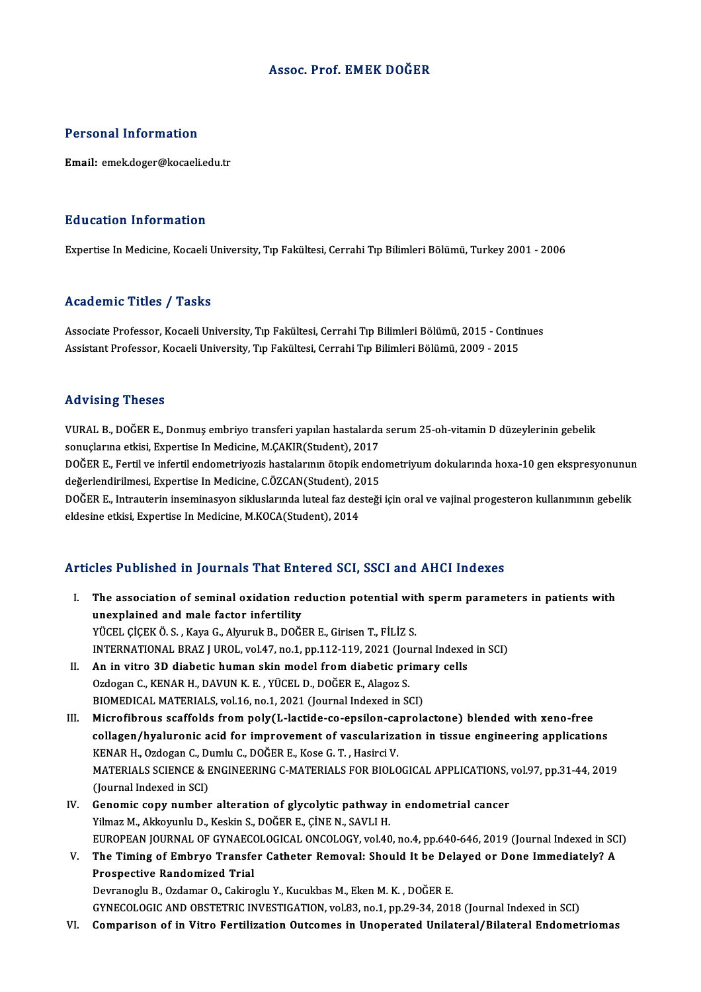### Assoc. Prof. EMEK DOĞER

### Personal Information

Email: emek.doger@kocaeli.edu.tr

#### Education Information

Expertise In Medicine, Kocaeli University, Tıp Fakültesi, Cerrahi Tıp Bilimleri Bölümü, Turkey 2001 - 2006

#### Academic Titles / Tasks

Academic Titles / Tasks<br>Associate Professor, Kocaeli University, Tıp Fakültesi, Cerrahi Tıp Bilimleri Bölümü, 2015 - Continues<br>Assistant Professor, Kosaeli University, Tıp Fakültesi, Cerrahi Tıp Bilimleri Bölümü, 2009, 201 110aa SIII oli 11108<br>Associate Professor, Kocaeli University, Tıp Fakültesi, Cerrahi Tıp Bilimleri Bölümü, 2015 - Conti<br>Assistant Professor, Kocaeli University, Tıp Fakültesi, Cerrahi Tıp Bilimleri Bölümü, 2009 - 2015 Assistant Professor, Kocaeli University, Tıp Fakültesi, Cerrahi Tıp Bilimleri Bölümü, 2009 - 2015<br>Advising Theses

Advising Theses<br>VURAL B., DOĞER E., Donmuş embriyo transferi yapılan hastalarda serum 25-oh-vitamin D düzeylerinin gebelik<br>senyelerine etkisi, Expertise In Medisine M.CAKIR(Student), 2017 sta vising i neses<br>VURAL B., DOĞER E., Donmuş embriyo transferi yapılan hastalarda<br>sonuçlarına etkisi, Expertise In Medicine, M.ÇAKIR(Student), 2017<br>DOĞER E. Fartil ve infartil andamatriyasia bastalarının ötanik anda VURAL B., DOĞER E., Donmuş embriyo transferi yapılan hastalarda serum 25-oh-vitamin D düzeylerinin gebelik<br>sonuçlarına etkisi, Expertise In Medicine, M.ÇAKIR(Student), 2017<br>DOĞER E., Fertil ve infertil endometriyozis hasta sonuçlarına etkisi, Expertise In Medicine, M.ÇAKIR(Student), 2017<br>DOĞER E., Fertil ve infertil endometriyozis hastalarının ötopik endo<br>değerlendirilmesi, Expertise In Medicine, C.ÖZCAN(Student), 2015<br>DOĞER E. Intrautorin i DOĞER E., Fertil ve infertil endometriyozis hastalarının ötopik endometriyum dokularında hoxa-10 gen ekspresyonunur<br>değerlendirilmesi, Expertise In Medicine, C.ÖZCAN(Student), 2015<br>DOĞER E., Intrauterin inseminasyon siklus değerlendirilmesi, Expertise In Medicine, C.ÖZCAN(Student), 2<br>DOĞER E., Intrauterin inseminasyon sikluslarında luteal faz des<br>eldesine etkisi, Expertise In Medicine, M.KOCA(Student), 2014

# eldesine etkisi, Expertise In Medicine, M.KOCA(Student), 2014<br>Articles Published in Journals That Entered SCI, SSCI and AHCI Indexes

- rticles Published in Journals That Entered SCI, SSCI and AHCI Indexes<br>I. The association of seminal oxidation reduction potential with sperm parameters in patients with<br>weavelained and male factor infortility The association of seminal oxidation representation of seminal oxidation representation of seminal oxidation representation unexplained and male factor infertility<br>YÜCEL ÇİÇEKÖ.S., Kaya G., Alyuruk B., DOĞER E., Girisen T., FİLİZ S. unexplained and male factor infertility<br>YÜCEL ÇİÇEK Ö.S., Kaya G., Alyuruk B., DOĞER E., Girisen T., FİLİZ S.<br>INTERNATIONAL BRAZ J UROL, vol.47, no.1, pp.112-119, 2021 (Journal Indexed in SCI)<br>An in vitro 3D disbatis buman YÜCEL ÇİÇEK Ö. S., Kaya G., Alyuruk B., DOĞER E., Girisen T., FİLİZ S.<br>INTERNATIONAL BRAZ J UROL, vol.47, no.1, pp.112-119, 2021 (Journal Indexed<br>II. An in vitro 3D diabetic human skin model from diabetic primary cells<br>Ord
- INTERNATIONAL BRAZ J UROL, vol.47, no.1, pp.112-119, 2021 (Jou<br>An in vitro 3D diabetic human skin model from diabetic pri<br>Ozdogan C., KENAR H., DAVUN K. E., YÜCEL D., DOĞER E., Alagoz S.<br>PIOMEDICAL MATERIALS vol.16 no.1, 2 II. An in vitro 3D diabetic human skin model from diabetic primary cells<br>Ozdogan C., KENAR H., DAVUN K. E., YÜCEL D., DOĞER E., Alagoz S.<br>BIOMEDICAL MATERIALS, vol.16, no.1, 2021 (Journal Indexed in SCI)

III. Microfibrous scaffolds from poly(L-lactide-co-epsilon-caprolactone) blended with xeno-free BIOMEDICAL MATERIALS, vol.16, no.1, 2021 (Journal Indexed in SCI)<br>Microfibrous scaffolds from poly(L-lactide-co-epsilon-caprolactone) blended with xeno-free<br>collagen/hyaluronic acid for improvement of vascularization in ti Microfibrous scaffolds from poly(L-lactide-co-epsilon-ca<br>collagen/hyaluronic acid for improvement of vasculariza<br>KENAR H., Ozdogan C., Dumlu C., DOĞER E., Kose G. T. , Hasirci V.<br>MATERIALS SCIENCE & ENCINEERING G MATERIALS collagen/hyaluronic acid for improvement of vascularization in tissue engineering applications<br>KENAR H., Ozdogan C., Dumlu C., DOĞER E., Kose G. T. , Hasirci V.<br>MATERIALS SCIENCE & ENGINEERING C-MATERIALS FOR BIOLOGICAL AP KENAR H., Ozdogan C., D<br>MATERIALS SCIENCE & E<br>(Journal Indexed in SCI)<br>Conomis sony number MATERIALS SCIENCE & ENGINEERING C-MATERIALS FOR BIOLOGICAL APPLICATIONS,<br>(Journal Indexed in SCI)<br>IV. Genomic copy number alteration of glycolytic pathway in endometrial cancer<br>Vilmer M. Altistruphy D. Koskip S. DOČER E. C

- (Journal Indexed in SCI)<br>Genomic copy number alteration of glycolytic pathway<br>Yilmaz M., Akkoyunlu D., Keskin S., DOĞER E., ÇİNE N., SAVLI H.<br>FUROPEAN JOURNAL OF CYNAFCOLOCICAL ONÇOLOCY YRL40 Yilmaz M., Akkoyunlu D., Keskin S., DOĞER E., ÇİNE N., SAVLI H.<br>EUROPEAN JOURNAL OF GYNAECOLOGICAL ONCOLOGY, vol.40, no.4, pp.640-646, 2019 (Journal Indexed in SCI) Yilmaz M., Akkoyunlu D., Keskin S., DOĞER E., ÇİNE N., SAVLI H.<br>EUROPEAN JOURNAL OF GYNAECOLOGICAL ONCOLOGY, vol.40, no.4, pp.640-646, 2019 (Journal Indexed in SC<br>V. The Timing of Embryo Transfer Catheter Removal: Should I
- EUROPEAN JOURNAL OF GYNAECON<br>The Timing of Embryo Transfe<br>Prospective Randomized Trial<br>Downanogly B. Ordomar O. Coltine The Timing of Embryo Transfer Catheter Removal: Should It be Del<br>Prospective Randomized Trial<br>Devranoglu B., Ozdamar O., Cakiroglu Y., Kucukbas M., Eken M. K. , DOĞER E.<br>CYNECOLOGIC AND ORSTETRIC INVESTIC ATION YOL?? 20.1

Prospective Randomized Trial<br>Devranoglu B., Ozdamar O., Cakiroglu Y., Kucukbas M., Eken M. K. , DOĞER E.<br>GYNECOLOGIC AND OBSTETRIC INVESTIGATION, vol.83, no.1, pp.29-34, 2018 (Journal Indexed in SCI)<br>Comparison of in Vitro Devranoglu B., Ozdamar O., Cakiroglu Y., Kucukbas M., Eken M. K. , DOĞER E.<br>GYNECOLOGIC AND OBSTETRIC INVESTIGATION, vol.83, no.1, pp.29-34, 2018 (Journal Indexed in SCI)<br>VI. Comparison of in Vitro Fertilization Outcome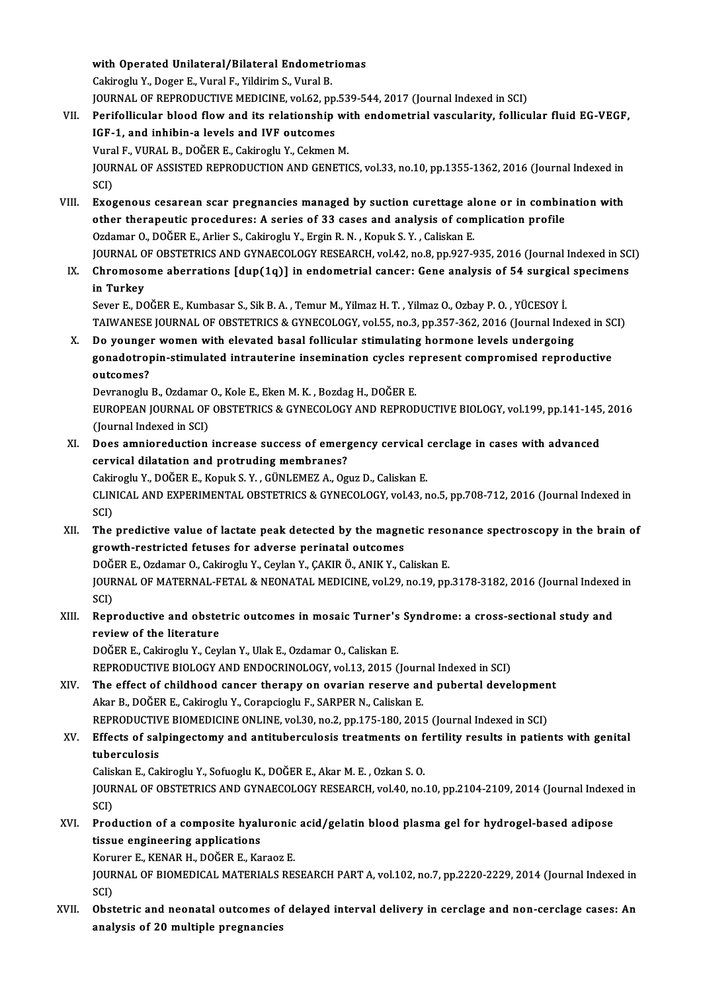with Operated Unilateral/Bilateral Endometriomas With Operated Unilateral/Bilateral Endometr<br>Cakiroglu Y., Doger E., Vural F., Yildirim S., Vural B.<br>JOURNAL OF REPRODUCTIVE MEDICINE vel 62 nr with Operated Unilateral/Bilateral Endometriomas<br>Cakiroglu Y., Doger E., Vural F., Yildirim S., Vural B.<br>JOURNAL OF REPRODUCTIVE MEDICINE, vol.62, pp.539-544, 2017 (Journal Indexed in SCI)<br>Perifollisular blood flow and its Cakiroglu Y., Doger E., Vural F., Yildirim S., Vural B.<br>JOURNAL OF REPRODUCTIVE MEDICINE, vol.62, pp.539-544, 2017 (Journal Indexed in SCI)<br>VII. Perifollicular blood flow and its relationship with endometrial vascularity,

- JOURNAL OF REPRODUCTIVE MEDICINE, vol.62, pp.<br>Perifollicular blood flow and its relationship<br>IGF-1, and inhibin-a levels and IVF outcomes<br>Vural E. VURAL B. DOČER E. Cakiroslu Y. Colmon Perifollicular blood flow and its relationship wi<br>IGF-1, and inhibin-a levels and IVF outcomes<br>Vural F., VURAL B., DOĞER E., Cakiroglu Y., Cekmen M.<br>JOURNAL OF ASSISTED RERRODUCTION AND CENETIC IGF-1, and inhibin-a levels and IVF outcomes<br>Vural F., VURAL B., DOĞER E., Cakiroglu Y., Cekmen M.<br>JOURNAL OF ASSISTED REPRODUCTION AND GENETICS, vol.33, no.10, pp.1355-1362, 2016 (Journal Indexed in<br>SCD Vura<br>JOUR<br>SCI)<br>Excí JOURNAL OF ASSISTED REPRODUCTION AND GENETICS, vol.33, no.10, pp.1355-1362, 2016 (Journal Indexed in<br>SCI)<br>VIII. Exogenous cesarean scar pregnancies managed by suction curettage alone or in combination with<br>other there perc
- SCI)<br>Exogenous cesarean scar pregnancies managed by suction curettage alone or in combin<br>other therapeutic procedures: A series of 33 cases and analysis of complication profile<br>Ordaman Q DOČER E. Arliar S. Cakinggly V. Erg Exogenous cesarean scar pregnancies managed by suction curettage al<br>other therapeutic procedures: A series of 33 cases and analysis of com<br>Ozdamar O., DOĞER E., Arlier S., Cakiroglu Y., Ergin R.N. , Kopuk S.Y. , Caliskan E other therapeutic procedures: A series of 33 cases and analysis of complication profile<br>Ozdamar O., DOĞER E., Arlier S., Cakiroglu Y., Ergin R. N. , Kopuk S. Y. , Caliskan E.<br>JOURNAL OF OBSTETRICS AND GYNAECOLOGY RESEARCH, Ozdamar O., DOĞER E., Arlier S., Cakiroglu Y., Ergin R. N. , Kopuk S. Y. , Caliskan E.<br>JOURNAL OF OBSTETRICS AND GYNAECOLOGY RESEARCH, vol.42, no.8, pp.927-935, 2016 (Journal Indexed in SC<br>IX. Chromosome aberrations [dup(1
- **JOURNAL O<br>Chromoso<br>in Turkey<br>Sover E. DO** Chromosome aberrations [dup(1q)] in endometrial cancer: Gene analysis of 54 surgical<br>in Turkey<br>Sever E., DOĞER E., Kumbasar S., Sik B.A. , Temur M., Yilmaz H. T. , Yilmaz O., Ozbay P. O. , YÜCESOY İ.<br>TAIWANESE JOUPNAL OF O

in Turkey<br>Sever E., DOĞER E., Kumbasar S., Sik B. A. , Temur M., Yilmaz H. T. , Yilmaz O., Ozbay P. O. , YÜCESOY İ.<br>TAIWANESE JOURNAL OF OBSTETRICS & GYNECOLOGY, vol.55, no.3, pp.357-362, 2016 (Journal Indexed in SCI)<br>De v Sever E., DOĞER E., Kumbasar S., Sik B. A., Temur M., Yilmaz H. T., Yilmaz O., Ozbay P. O., YÜCESOY İ.<br>TAIWANESE JOURNAL OF OBSTETRICS & GYNECOLOGY, vol.55, no.3, pp.357-362, 2016 (Journal Index<br>X. Do younger women with el

TAIWANESE JOURNAL OF OBSTETRICS & GYNECOLOGY, vol.55, no.3, pp.357-362, 2016 (Journal Indexed in SO<br>Do younger women with elevated basal follicular stimulating hormone levels undergoing<br>gonadotropin-stimulated intrauterine Do younge<br>gonadotroj<br>outcomes?<br>Dourangelu gonadotropin-stimulated intrauterine insemination cycles represent compromised reproductive<br>outcomes?

EUROPEAN JOURNAL OF OBSTETRICS & GYNECOLOGY AND REPRODUCTIVE BIOLOGY, vol.199, pp.141-145, 2016<br>(Journal Indexed in SCI) Devranoglu B., Ozdamar O., Kole E., Eken M. K., Bozdag H., DOĞER E. EUROPEAN JOURNAL OF OBSTETRICS & GYNECOLOGY AND REPRODUCTIVE BIOLOGY, vol.199, pp.141-145<br>(Journal Indexed in SCI)<br>XI. Does amnioreduction increase success of emergency cervical cerclage in cases with advanced<br>convical dil

cervical dilatation and protruding membranes? Does amnioreduction increase success of emergency cervical (<br>cervical dilatation and protruding membranes?<br>Cakiroglu Y., DOĞER E., Kopuk S. Y. , GÜNLEMEZ A., Oguz D., Caliskan E.<br>CLINICAL AND EXPERIMENTAL OBSTETRICS & CYNE Cakiroglu Y., DOĞER E., Kopuk S. Y., GÜNLEMEZ A., Oguz D., Caliskan E.

CLINICAL AND EXPERIMENTAL OBSTETRICS & GYNECOLOGY, vol.43, no.5, pp.708-712, 2016 (Journal Indexed in<br>SCI) CLINICAL AND EXPERIMENTAL OBSTETRICS & GYNECOLOGY, vol.43, no.5, pp.708-712, 2016 (Journal Indexed in<br>SCI)<br>XII. The predictive value of lactate peak detected by the magnetic resonance spectroscopy in the brain of<br>growth re

SCI)<br>The predictive value of lactate peak detected by the magne<br>growth-restricted fetuses for adverse perinatal outcomes<br>DOČER E. Ordamar O. Cakiragh: Y. Caylar Y. CAKIR Ö. ANIK Y. C The predictive value of lactate peak detected by the magnetic reso<br>growth-restricted fetuses for adverse perinatal outcomes<br>DOĞER E., Ozdamar O., Cakiroglu Y., Ceylan Y., ÇAKIR Ö., ANIK Y., Caliskan E.<br>JOUPMAL OE MATERMAL DOĞER E., Ozdamar O., Cakiroglu Y., Ceylan Y., ÇAKIR Ö., ANIK Y., Caliskan E.

growth-restricted fetuses for adverse perinatal outcomes<br>DOĞER E., Ozdamar O., Cakiroglu Y., Ceylan Y., ÇAKIR Ö., ANIK Y., Caliskan E.<br>JOURNAL OF MATERNAL-FETAL & NEONATAL MEDICINE, vol.29, no.19, pp.3178-3182, 2016 (Journ JOURNAL OF MATERNAL-FETAL & NEONATAL MEDICINE, vol.29, no.19, pp.3178-3182, 2016 (Journal Indexed<br>SCI)<br>XIII. Reproductive and obstetric outcomes in mosaic Turner's Syndrome: a cross-sectional study and<br>nextions of the lite

SCI)<br>Reproductive and obste<br>review of the literature<br>DOČER E. Calinesly V. Cov

review of the literature<br>DOĞER E., Cakiroglu Y., Ceylan Y., Ulak E., Ozdamar O., Caliskan E. REPRODUCTIVE BIOLOGY AND ENDOCRINOLOGY, vol.13, 2015 (Journal Indexed in SCI)

DOĞER E., Cakiroglu Y., Ceylan Y., Ulak E., Ozdamar O., Caliskan E.<br>REPRODUCTIVE BIOLOGY AND ENDOCRINOLOGY, vol.13, 2015 (Journal Indexed in SCI)<br>XIV. The effect of childhood cancer therapy on ovarian reserve and pubertal Akar B., DOĞER E., Cakiroglu Y., Corapcioglu F., SARPER N., Caliskan E. The effect of childhood cancer therapy on ovarian reserve and pubertal developmen<br>Akar B., DOĞER E., Cakiroglu Y., Corapcioglu F., SARPER N., Caliskan E.<br>REPRODUCTIVE BIOMEDICINE ONLINE, vol.30, no.2, pp.175-180, 2015 (Jou REPRODUCTIVE BIOMEDICINE ONLINE, vol.30, no.2, pp.175-180, 2015 (Journal Indexed in SCI)

### XV. Effects of salpingectomy and antituberculosis treatments on fertility results in patients with genital Effects of salpingectomy and antituberculosis treatments on f<br>tuberculosis<br>Caliskan E., Cakiroglu Y., Sofuoglu K., DOĞER E., Akar M. E. , Ozkan S. O.<br>JOUPMAL OF OPSTETPICS AND CYMAECOLOCY PESEARCH .val.40, no.

JOURNAL OF OBSTETRICS AND GYNAECOLOGY RESEARCH, vol.40, no.10, pp.2104-2109, 2014 (Journal Indexed in SCI) Calis<br>JOUR<br>SCI)<br>Prod JOURNAL OF OBSTETRICS AND GYNAECOLOGY RESEARCH, vol.40, no.10, pp.2104-2109, 2014 (Journal Indexe<br>SCI)<br>XVI. Production of a composite hyaluronic acid/gelatin blood plasma gel for hydrogel-based adipose<br>tiguus angineering a

SCI)<br>Production of a composite hyali<br>tissue engineering applications<br>Komunar E. KENAR H. DOČER E. Ko Production of a composite hyaluronic<br>tissue engineering applications<br>Korurer E., KENAR H., DOĞER E., Karaoz E.<br>JOUPNAL OF PJOMEDICAL MATERIALS PES

tissue engineering applications<br>Korurer E., KENAR H., DOĞER E., Karaoz E.<br>JOURNAL OF BIOMEDICAL MATERIALS RESEARCH PART A, vol.102, no.7, pp.2220-2229, 2014 (Journal Indexed in<br>SCI) Koru<br>JOUR<br>SCI)<br>Obst JOURNAL OF BIOMEDICAL MATERIALS RESEARCH PART A, vol.102, no.7, pp.2220-2229, 2014 (Journal Indexed in<br>SCI)<br>XVII. Obstetric and neonatal outcomes of delayed interval delivery in cerclage and non-cerclage cases: An<br>analysis

SCI)<br>Obstetric and neonatal outcomes of<br>analysis of 20 multiple pregnancies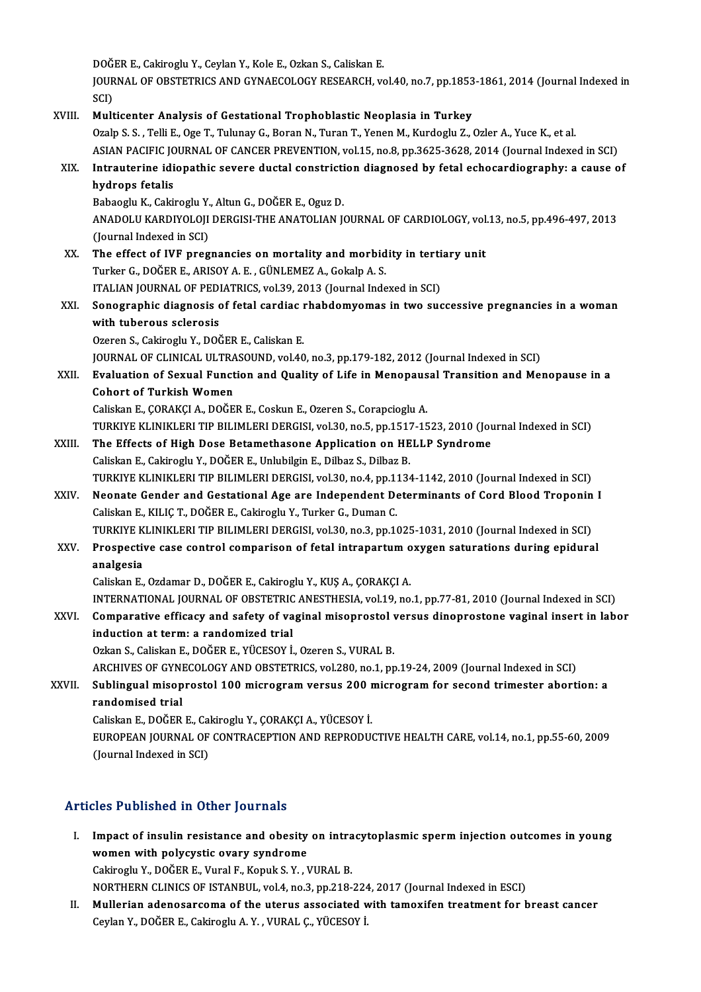DOĞER E., Cakiroglu Y., Ceylan Y., Kole E., Ozkan S., Caliskan E.<br>JOUPNAL OE OPSTETRICS AND CYNAECOLOCY PESEARCH *ve* 

JOURNAL OF OBSTETRICS AND GYNAECOLOGY RESEARCH, vol.40, no.7, pp.1853-1861, 2014 (Journal Indexed in<br>SCI) DOĞ<br>JOUR<br>SCI)<br>Mult

### XVIII. Multicenter Analysis of Gestational Trophoblastic Neoplasia in Turkey

Ozalp S. S., Telli E., Oge T., Tulunay G., Boran N., Turan T., Yenen M., Kurdoglu Z., Ozler A., Yuce K., et al. ASIAN PACIFIC JOURNAL OF CANCER PREVENTION, vol.15, no.8, pp.3625-3628, 2014 (Journal Indexed in SCI) Ozalp S. S. , Telli E., Oge T., Tulunay G., Boran N., Turan T., Yenen M., Kurdoglu Z., Ozler A., Yuce K., et al.<br>ASIAN PACIFIC JOURNAL OF CANCER PREVENTION, vol.15, no.8, pp.3625-3628, 2014 (Journal Indexed in SCI)<br>XIX. In

## ASIAN PACIFIC JO<br>Intrauterine idi<br>hydrops fetalis<br>Babaaglu K. Caki Intrauterine idiopathic severe ductal constricti<br>hydrops fetalis<br>Babaoglu K., Cakiroglu Y., Altun G., DOĞER E., Oguz D.<br>ANADOLU KARDIYOLOU DERCISLTHE ANATOLIAN I

Babaoglu K., Cakiroglu Y., Altun G., DOĞER E., Oguz D.

hydrops fetalis<br>Babaoglu K., Cakiroglu Y., Altun G., DOĞER E., Oguz D.<br>ANADOLU KARDIYOLOJI DERGISI-THE ANATOLIAN JOURNAL OF CARDIOLOGY, vol.13, no.5, pp.496-497, 2013<br>(Journal Indexed in SCI) ANADOLU KARDIYOLOJI DERGISI-THE ANATOLIAN JOURNAL OF CARDIOLOGY, vol.<br>(Journal Indexed in SCI)<br>XX. The effect of IVF pregnancies on mortality and morbidity in tertiary unit<br>Turker G. DOČER E. ARISOV A. E. CÜNLEMEZ A. Coke

- (Journal Indexed in SCI)<br>The effect of IVF pregnancies on mortality and morbid<br>Turker G., DOĞER E., ARISOY A. E. , GÜNLEMEZ A., Gokalp A. S.<br>ITALIAN JOURNAL OF PEDIATRICS vol 30, 2012 (Journal Inde The effect of IVF pregnancies on mortality and morbidity in terti<br>Turker G., DOĞER E., ARISOY A. E. , GÜNLEMEZ A., Gokalp A. S.<br>ITALIAN JOURNAL OF PEDIATRICS, vol.39, 2013 (Journal Indexed in SCI)<br>Senegraphic diagnosis of
- Turker G., DOĞER E., ARISOY A. E. , GÜNLEMEZ A., Gokalp A. S.<br>ITALIAN JOURNAL OF PEDIATRICS, vol.39, 2013 (Journal Indexed in SCI)<br>XXI. Sonographic diagnosis of fetal cardiac rhabdomyomas in two successive pregnancies in a **ITALIAN JOURNAL OF PEDI<br>Sonographic diagnosis<br>with tuberous sclerosis**<br>Ozeren S. Gebiner, N. DOČ Sonographic diagnosis of fetal cardiac i<br>with tuberous sclerosis<br>Ozeren S., Cakiroglu Y., DOĞER E., Caliskan E.<br>JOUPNAL OF CLINICAL HETPASOUND vol 40 with tuberous sclerosis<br>Ozeren S., Cakiroglu Y., DOĞER E., Caliskan E.<br>JOURNAL OF CLINICAL ULTRASOUND, vol.40, no.3, pp.179-182, 2012 (Journal Indexed in SCI)<br>Evaluation of Sovual Eunstian and Quality of Life in Mananausal

Ozeren S., Cakiroglu Y., DOĞER E., Caliskan E.<br>JOURNAL OF CLINICAL ULTRASOUND, vol.40, no.3, pp.179-182, 2012 (Journal Indexed in SCI)<br>XXII. Evaluation of Sexual Function and Quality of Life in Menopausal Transition and Me **JOURNAL OF CLINICAL ULTRA<br>Evaluation of Sexual Funct<br>Cohort of Turkish Women**<br>Calialra E. COPA*VC*LA, DOČE Evaluation of Sexual Function and Quality of Life in Menopaus<br>Cohort of Turkish Women<br>Caliskan E., ÇORAKÇI A., DOĞER E., Coskun E., Ozeren S., Corapcioglu A.<br>TURKIVE KLINIKLERLTIR RILIMI ERLDERCISLYOLEO ne 5-nn 1517-15

TURKIYE KLINIKLERI TIP BILIMLERI DERGISI, vol.30, no.5, pp.1517-1523, 2010 (Journal Indexed in SCI)

- Caliskan E., ÇORAKÇI A., DOĞER E., Coskun E., Ozeren S., Corapcioglu A.<br>TURKIYE KLINIKLERI TIP BILIMLERI DERGISI, vol.30, no.5, pp.1517-1523, 2010 (Journal XXIII.<br>XXIII. The Effects of High Dose Betamethasone Application o The Effects of High Dose Betamethasone Application on HELLP Syndrome Caliskan E., Cakiroglu Y., DOĞER E., Unlubilgin E., Dilbaz S., Dilbaz B. The Effects of High Dose Betamethasone Application on HELLP Syndrome<br>Caliskan E., Cakiroglu Y., DOĞER E., Unlubilgin E., Dilbaz S., Dilbaz B.<br>TURKIYE KLINIKLERI TIP BILIMLERI DERGISI, vol.30, no.4, pp.1134-1142, 2010 (Jour Caliskan E., Cakiroglu Y., DOĞER E., Unlubilgin E., Dilbaz S., Dilbaz B.<br>TURKIYE KLINIKLERI TIP BILIMLERI DERGISI, vol.30, no.4, pp.1134-1142, 2010 (Journal Indexed in SCI)<br>XXIV. Neonate Gender and Gestational Age are Inde
- TURKIYE KLINIKLERI TIP BILIMLERI DERGISI, vol.30, no.4, pp.1:<br>Neonate Gender and Gestational Age are Independent De<br>Caliskan E., KILIÇ T., DOĞER E., Cakiroglu Y., Turker G., Duman C.<br>TURKIVE KI INIKI ERI TIR BILIMI ERI DER Neonate Gender and Gestational Age are Independent Determinants of Cord Blood Troponin I<br>Caliskan E., KILIÇ T., DOĞER E., Cakiroglu Y., Turker G., Duman C.<br>TURKIYE KLINIKLERI TIP BILIMLERI DERGISI, vol.30, no.3, pp.1025-10 Caliskan E., KILIÇ T., DOĞER E., Cakiroglu Y., Turker G., Duman C.<br>TURKIYE KLINIKLERI TIP BILIMLERI DERGISI, vol.30, no.3, pp.1025-1031, 2010 (Journal Indexed in SCI)<br>XXV. Prospective case control comparison of fetal i

## TURKIYE K<br>Prospectiv<br>analgesia<br>Coliskan E Prospective case control comparison of fetal intrapartum o<br>analgesia<br>Caliskan E., Ozdamar D., DOĞER E., Cakiroglu Y., KUŞ A., ÇORAKÇI A.<br>INTERNATIONAL JOURNAL OF ORSTETRIC ANESTUESIA .vol.19, no <mark>analgesia</mark><br>Caliskan E., Ozdamar D., DOĞER E., Cakiroglu Y., KUŞ A., ÇORAKÇI A.<br>INTERNATIONAL JOURNAL OF OBSTETRIC ANESTHESIA, vol.19, no.1, pp.77-81, 2010 (Journal Indexed in SCI)<br>Comparative efficesy and safety of vasina

Caliskan E., Ozdamar D., DOĞER E., Cakiroglu Y., KUŞ A., ÇORAKÇI A.<br>INTERNATIONAL JOURNAL OF OBSTETRIC ANESTHESIA, vol.19, no.1, pp.77-81, 2010 (Journal Indexed in SCI)<br>XXVI. Comparative efficacy and safety of vaginal miso INTERNATIONAL JOURNAL OF OBSTETRIC<br>Comparative efficacy and safety of va<br>induction at term: a randomized trial induction at term: a randomized trial<br>Ozkan S., Caliskan E., DOĞER E., YÜCESOY İ., Ozeren S., VURAL B.<br>ARCHIVES OF GYNECOLOGY AND OBSTETRICS, vol.280, no.1, pp.19-24, 2009 (Journal Indexed in SCI)<br>Sublingual misonnastal 10

Ozkan S., Caliskan E., DOĞER E., YÜCESOY İ., Ozeren S., VURAL B.

XXVII. Sublingual misoprostol 100 microgram versus 200 microgram for second trimester abortion: a<br>randomised trial ARCHIVES OF GYNI<br>Sublingual misop<br>randomised trial<br>Caliskan E. DOČEP Sublingual misoprostol 100 microgram versus 200 r<br>randomised trial<br>Caliskan E., DOĞER E., Cakiroglu Y., ÇORAKÇI A., YÜCESOY İ.<br>FUROPEAN JOURNAL OE CONTRACERTION AND REPRODU

EUROPEAN JOURNAL OF CONTRACEPTION AND REPRODUCTIVE HEALTH CARE, vol.14, no.1, pp.55-60, 2009<br>(Journal Indexed in SCI) Caliskan E., DOĞER E., Ca<br>EUROPEAN JOURNAL OF<br>(Journal Indexed in SCI)

### Articles Published in Other Journals

rticles Published in Other Journals<br>I. Impact of insulin resistance and obesity on intracytoplasmic sperm injection outcomes in young<br>wereon with polygystic overy syndnome Impact of insulin resistance and obesity<br>Women with polycystic ovary syndrome<br>Colinealy Y. DOČER E. Vyrel E. Kenyls S. Y. J Impact of insulin resistance and obesity on intra<br>women with polycystic ovary syndrome<br>Cakiroglu Y., DOĞER E., Vural F., Kopuk S.Y. , VURAL B.<br>NORTUERN CLINICS OF ISTANPUL .vol.4, no.3, nn.319. women with polycystic ovary syndrome<br>Cakiroglu Y., DOĞER E., Vural F., Kopuk S. Y. , VURAL B.<br>NORTHERN CLINICS OF ISTANBUL, vol.4, no.3, pp.218-224, 2017 (Journal Indexed in ESCI)<br>Mullerian adenosarsoma of the utaws associ

Cakiroglu Y., DOĞER E., Vural F., Kopuk S. Y. , VURAL B.<br>NORTHERN CLINICS OF ISTANBUL, vol.4, no.3, pp.218-224, 2017 (Journal Indexed in ESCI)<br>II. Mullerian adenosarcoma of the uterus associated with tamoxifen treatmen NORTHERN CLINICS OF ISTANBUL, vol.4, no.3, pp.218-224<br><mark>Mullerian adenosarcoma of the uterus associated v</mark><br>Ceylan Y., DOĞER E., Cakiroglu A. Y. , VURAL Ç., YÜCESOY İ.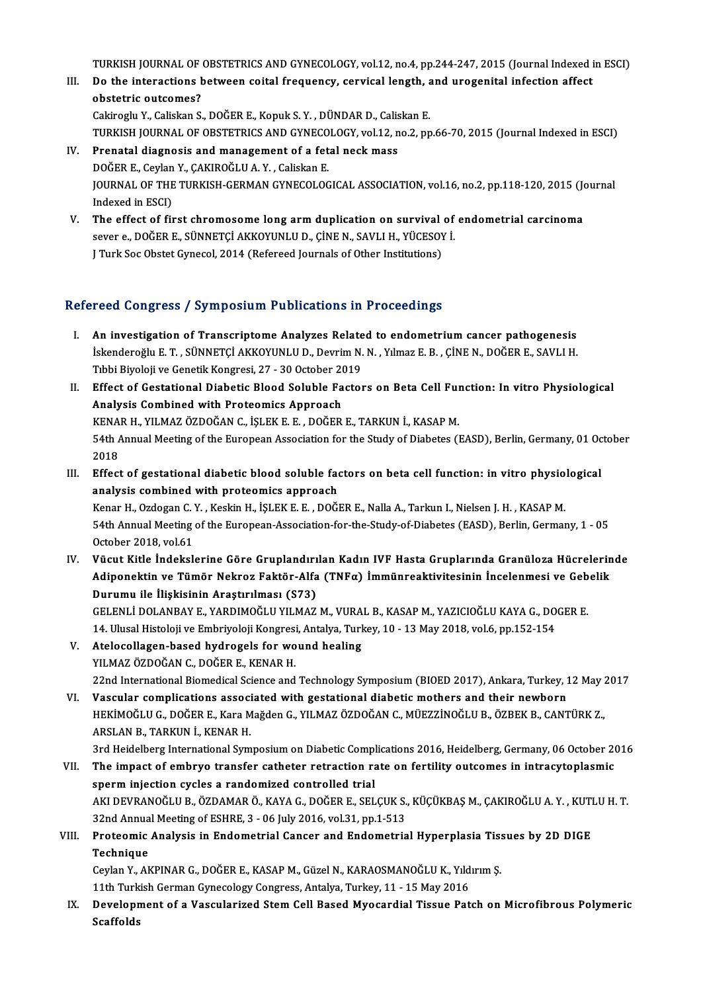TURKISH JOURNAL OF OBSTETRICS AND GYNECOLOGY, vol.12, no.4, pp.244-247, 2015 (Journal Indexed in ESCI)<br>De the interactions between seitel frequency, convisel length, and unegenitel infection offect.

- TURKISH JOURNAL OF OBSTETRICS AND GYNECOLOGY, vol.12, no.4, pp.244-247, 2015 (Journal Indexed i<br>III. Do the interactions between coital frequency, cervical length, and urogenital infection affect<br>Abstatrie outcomos? TURKISH JOURNAL OF<br>Do the interactions b<br>obstetric outcomes? III. Do the interactions between coital frequency, cervical length, and urogenital infection affect<br>obstetric outcomes?<br>Cakiroglu Y., Caliskan S., DOĞER E., Kopuk S.Y. , DÜNDAR D., Caliskan E. obstetric outcomes?<br>Cakiroglu Y., Caliskan S., DOĞER E., Kopuk S. Y. , DÜNDAR D., Caliskan E.<br>TURKISH JOURNAL OF OBSTETRICS AND GYNECOLOGY, vol.12, no.2, pp.66-70, 2015 (Journal Indexed in ESCI)<br>Prenatal diagnosis and mana
- IV. Prenatal diagnosis and management of a fetal neck mass TURKISH JOURNAL OF OBSTETRICS AND GYNECO<br>Prenatal diagnosis and management of a fet<br>DOĞER E., Ceylan Y., ÇAKIROĞLU A.Y. , Caliskan E.<br>JOUPNAL OF THE TURKISH CERMAN CYNECOLOG JOURNAL OF THE TURKISH-GERMAN GYNECOLOGICAL ASSOCIATION, vol.16, no.2, pp.118-120, 2015 (Journal<br>Indexed in ESCI) DOĞER E., Ceylan Y., ÇAKIROĞLU A. Y., Caliskan E. JOURNAL OF THE TURKISH-GERMAN GYNECOLOGICAL ASSOCIATION, vol.16, no.2, pp.118-120, 2015 (Journal)<br>Indexed in ESCI)<br>V. The effect of first chromosome long arm duplication on survival of endometrial carcinoma<br>save a počen e
- Indexed in ESCI)<br>The effect of first chromosome long arm duplication on survival of<br>sever e., DOĞER E., SÜNNETÇİ AKKOYUNLU D., ÇİNE N., SAVLI H., YÜCESOY İ.<br>LTurk Sos Obstat Cunesal 2014 (Refereed Jeurnals of Other Institu The effect of first chromosome long arm duplication on survival<br>sever e., DOĞER E., SÜNNETÇİ AKKOYUNLU D., ÇİNE N., SAVLI H., YÜCESOY<br>J Turk Soc Obstet Gynecol, 2014 (Refereed Journals of Other Institutions)

# J Turk Soc Obstet Gynecol, 2014 (Refereed Journals of Other Institutions)<br>Refereed Congress / Symposium Publications in Proceedings

- I. An investigation of Transcriptome Analyzes Related to endometrium cancer pathogenesis Isca dongress 7 symposium i ushtatishs in i recedings<br>An investigation of Transcriptome Analyzes Related to endometrium cancer pathogenesis<br>İskenderoğlu E.T., SÜNNETÇİ AKKOYUNLU D., Devrim N.N., Yılmaz E. B., ÇİNE N., DOĞE An investigation of Transcriptome Analyzes Relate<br>İskenderoğlu E. T. , SÜNNETÇİ AKKOYUNLU D., Devrim N.<br>Tıbbi Biyoloji ve Genetik Kongresi, 27 - 30 October 2019<br>Effect of Cestational Diabetis Blood Soluble Festor Tibbi Biyoloji ve Genetik Kongresi, 27 - 30 October 2019
- II. Effect of Gestational Diabetic Blood Soluble Factors on Beta Cell Function: In vitro Physiological<br>Analysis Combined with Proteomics Approach Effect of Gestational Diabetic Blood Soluble Factors on Beta Cell Ful<br>Analysis Combined with Proteomics Approach<br>KENAR H., YILMAZ ÖZDOĞAN C., İŞLEK E. E. , DOĞER E., TARKUN İ., KASAP M.<br>54th Annual Meeting of the European 54th Annual Meeting of the European Association for the Study of Diabetes (EASD), Berlin, Germany, 01 October<br>2018 KENA<br>54th /<br>2018<br>Effect 54th Annual Meeting of the European Association for the Study of Diabetes (EASD), Berlin, Germany, 01 Oc<br>2018<br>III. Effect of gestational diabetic blood soluble factors on beta cell function: in vitro physiological<br>analysis
- 2018<br>Effect of gestational diabetic blood soluble factor<br>analysis combined with proteomics approach<br>Kanar H. Ordegan C. Y., Koskin H. İSLEKE E., DOČI Effect of gestational diabetic blood soluble factors on beta cell function: in vitro physiol<br>analysis combined with proteomics approach<br>Kenar H., Ozdogan C.Y. , Keskin H., İŞLEK E. E. , DOĞER E., Nalla A., Tarkun I., Niels analysis combined with proteomics approach<br>Kenar H., Ozdogan C. Y. , Keskin H., İŞLEK E. E. , DOĞER E., Nalla A., Tarkun I., Nielsen J. H. , KASAP M.<br>54th Annual Meeting of the European-Association-for-the-Study-of-Diabete Kenar H., Ozdogan C.<br>54th Annual Meeting<br>October 2018, vol.61<br>Vüsut Kitle İndeksl 54th Annual Meeting of the European-Association-for-the-Study-of-Diabetes (EASD), Berlin, Germany, 1 - 05<br>October 2018, vol.61<br>IV. Vücut Kitle İndekslerine Göre Gruplandırılan Kadın IVF Hasta Gruplarında Granüloza Hücreler
- October 2018, vol.61<br>Vücut Kitle İndekslerine Göre Gruplandırılan Kadın IVF Hasta Gruplarında Granüloza Hücrelerin<br>Adiponektin ve Tümör Nekroz Faktör-Alfa (TNFα) İmmünreaktivitesinin İncelenmesi ve Gebelik<br>Dunumu ile İliş Vücut Kitle İndekslerine Göre Gruplandırı<br>Adiponektin ve Tümör Nekroz Faktör-Alfa<br>Durumu ile İlişkisinin Araştırılması (S73)<br>CELENLİ DOLANBAY E, YARDIMOČLU YU MAZ Adiponektin ve Tümör Nekroz Faktör-Alfa (TNF $\alpha$ ) İmmünreaktivitesinin İncelenmesi ve Gebelik<br>Durumu ile İlişkisinin Araştırılması (S73)<br>GELENLİ DOLANBAY E., YARDIMOĞLU YILMAZ M., VURAL B., KASAP M., YAZICIOĞLU KAYA G., D GELENLI DOLANBAY E., YARDIMOĞLU YILMAZ M., VURAL B., KASAP M., YAZICIOĞLU KAYA G., DOGER E.
- GELENLİ DOLANBAY E., YARDIMOĞLU YILMAZ M., VURA<br>14. Ulusal Histoloji ve Embriyoloji Kongresi, Antalya, Turk<br>V. Atelocollagen-based hydrogels for wound healing<br>V.U MAZ ÖZDOĞAN G. DOĞER E. KENAR H 14. Ulusal Histoloji ve Embriyoloji Kongresi<br>Atelocollagen-based hydrogels for wo<br>YILMAZ ÖZDOĞAN C., DOĞER E., KENAR H.<br>22nd International Biamedical Science and 22nd International Biomedical Science and Technology Symposium (BIOED 2017), Ankara, Turkey, 12 May 2017<br>22nd International Biomedical Science and Technology Symposium (BIOED 2017), Ankara, Turkey, 12 May 2017

VI. Vascular complications associated with gestational diabeticmothers and their newborn 22nd International Biomedical Science and Technology Symposium (BIOED 2017), Ankara, Turkey, 12 May 2<br>Vascular complications associated with gestational diabetic mothers and their newborn<br>HEKİMOĞLU G., DOĞER E., Kara Mağde Vascular complications associ<br>HEKİMOĞLU G., DOĞER E., Kara M<br>ARSLAN B., TARKUN İ., KENAR H.<br>2rd Heidelberg International Sum HEKİMOĞLU G., DOĞER E., Kara Mağden G., YILMAZ ÖZDOĞAN C., MÜEZZİNOĞLU B., ÖZBEK B., CANTÜRK Z.,<br>ARSLAN B., TARKUN İ., KENAR H.<br>3rd Heidelberg International Symposium on Diabetic Complications 2016, Heidelberg, Germany, 06

ARSLAN B., TARKUN İ., KENAR H.<br>3rd Heidelberg International Symposium on Diabetic Complications 2016, Heidelberg, Germany, 06 October 20<br>VII. The impact of embryo transfer catheter retraction rate on fertility outcomes in 3rd Heidelberg International Symposium on Diabetic Compl<br>The impact of embryo transfer catheter retraction randomized controlled trial<br>AKLDEVRANOČLU P. ÖZDAMAR Ö. KAVA G. DOČER E. SEL The impact of embryo transfer catheter retraction rate on fertility outcomes in intracytoplasmic<br>sperm injection cycles a randomized controlled trial<br>AKI DEVRANOĞLU B., ÖZDAMAR Ö., KAYA G., DOĞER E., SELÇUK S., KÜÇÜKBAŞ M. sperm injection cycles a randomized controlled trial<br>AKI DEVRANOĞLU B., ÖZDAMAR Ö., KAYA G., DOĞER E., SELÇUK S.,<br>32nd Annual Meeting of ESHRE, 3 - 06 July 2016, vol.31, pp.1-513<br>Proteomia Analysis in Endometrial Conser an

### AKI DEVRANOĞLU B., ÖZDAMAR Ö., KAYA G., DOĞER E., SELÇUK S., KÜÇÜKBAŞ M., ÇAKIROĞLU A. Y. , KUTLU H. T.<br>32nd Annual Meeting of ESHRE, 3 - 06 July 2016, vol.31, pp.1-513<br>VIII. Proteomic Analysis in Endometrial Cancer an **32nd Annua<br>Proteomic<br>Technique**<br>Caylan V. Al Proteomic Analysis in Endometrial Cancer and Endometrial Hyperplasia Tis:<br>Technique<br>Ceylan Y., AKPINAR G., DOĞER E., KASAP M., Güzel N., KARAOSMANOĞLU K., Yıldırım Ş.<br>11th Turkish Cerman Guneselegu Cengress, Artakıa, Turke Technique<br>Ceylan Y., AKPINAR G., DOĞER E., KASAP M., Güzel N., KARAOSMANOĞLU K., Yıld<br>11th Turkish German Gynecology Congress, Antalya, Turkey, 11 - 15 May 2016<br>Develenment of a Veseylerired Stem Cell Based Myseardial Tiss

Ceylan Y., AKPINAR G., DOĞER E., KASAP M., Güzel N., KARAOSMANOĞLU K., Yıldırım Ş.<br>11th Turkish German Gynecology Congress, Antalya, Turkey, 11 - 15 May 2016<br>IX. Development of a Vascularized Stem Cell Based Myocardial 11th Turk<br>Developr<br>Scaffolds